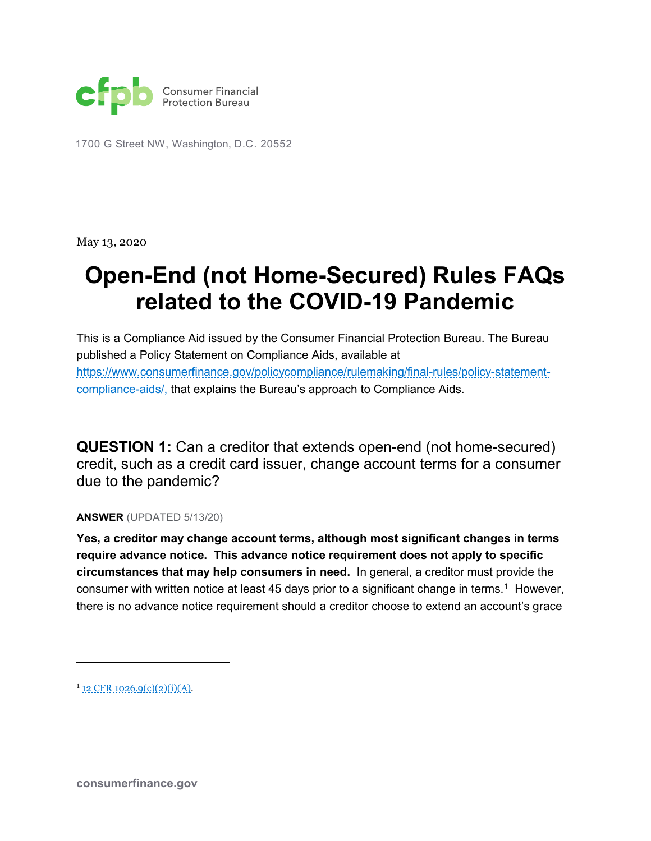

1700 G Street NW, Washington, D.C. 20552

May 13, 2020

## **Open-End (not Home-Secured) Rules FAQs related to the COVID-19 Pandemic**

This is a Compliance Aid issued by the Consumer Financial Protection Bureau. The Bureau published a Policy Statement on Compliance Aids, available at [https://www.consumerfinance.gov/policycompliance/rulemaking/final-rules/policy-statement](https://www.consumerfinance.gov/policycompliance/rulemaking/final-rules/policy-statement-compliance-aids/,)[compliance-aids/,](https://www.consumerfinance.gov/policycompliance/rulemaking/final-rules/policy-statement-compliance-aids/,) that explains the Bureau's approach to Compliance Aids.

**QUESTION 1:** Can a creditor that extends open-end (not home-secured) credit, such as a credit card issuer, change account terms for a consumer due to the pandemic?

**ANSWER** (UPDATED 5/13/20)

**Yes, a creditor may change account terms, although most significant changes in terms require advance notice. This advance notice requirement does not apply to specific circumstances that may help consumers in need.** In general, a creditor must provide the consumer with written notice at least 45 days prior to a significant change in terms.<sup>[1](#page-0-0)</sup> However, there is no advance notice requirement should a creditor choose to extend an account's grace

<span id="page-0-0"></span> $1_{12}$  CFR 1026.9(c)(2)(i)(A).

 $\overline{a}$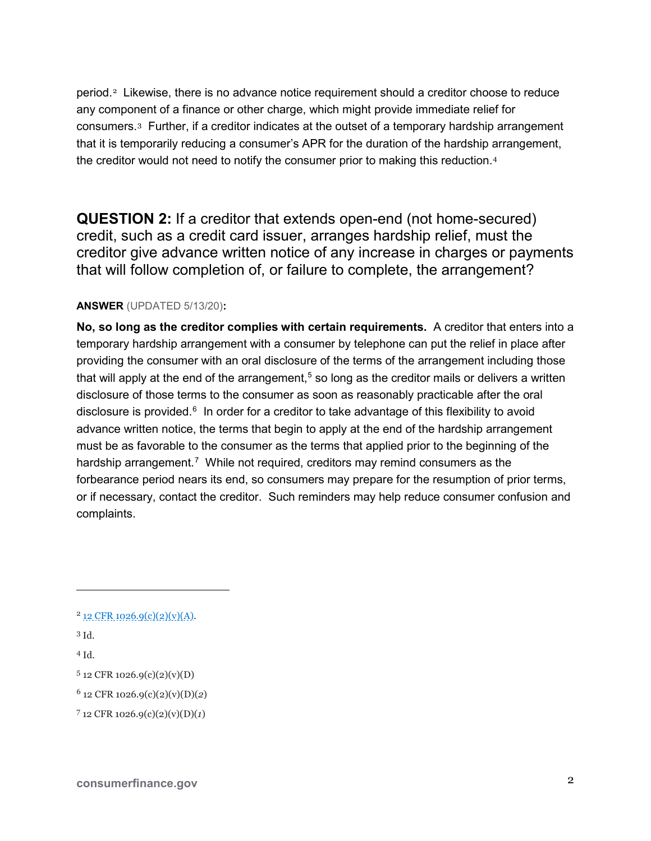period.[2](#page-1-0) Likewise, there is no advance notice requirement should a creditor choose to reduce any component of a finance or other charge, which might provide immediate relief for consumers.[3](#page-1-1) Further, if a creditor indicates at the outset of a temporary hardship arrangement that it is temporarily reducing a consumer's APR for the duration of the hardship arrangement, the creditor would not need to notify the consumer prior to making this reduction.<sup>[4](#page-1-2)</sup>

**QUESTION 2:** If a creditor that extends open-end (not home-secured) credit, such as a credit card issuer, arranges hardship relief, must the creditor give advance written notice of any increase in charges or payments that will follow completion of, or failure to complete, the arrangement?

## **ANSWER** (UPDATED 5/13/20)**:**

**No, so long as the creditor complies with certain requirements.** A creditor that enters into a temporary hardship arrangement with a consumer by telephone can put the relief in place after providing the consumer with an oral disclosure of the terms of the arrangement including those that will apply at the end of the arrangement, $^5$  $^5$  so long as the creditor mails or delivers a written disclosure of those terms to the consumer as soon as reasonably practicable after the oral disclosure is provided.<sup>[6](#page-1-4)</sup> In order for a creditor to take advantage of this flexibility to avoid advance written notice, the terms that begin to apply at the end of the hardship arrangement must be as favorable to the consumer as the terms that applied prior to the beginning of the hardship arrangement.<sup>[7](#page-1-5)</sup> While not required, creditors may remind consumers as the forbearance period nears its end, so consumers may prepare for the resumption of prior terms, or if necessary, contact the creditor. Such reminders may help reduce consumer confusion and complaints.

1

<span id="page-1-2"></span><sup>4</sup> Id.

<span id="page-1-0"></span> $2$  12 CFR 1026.9(c)(2)(y)(A).

<span id="page-1-1"></span><sup>3</sup> Id.

<span id="page-1-3"></span><sup>5</sup> 12 CFR 1026.9(c)(2)(v)(D)

<span id="page-1-4"></span><sup>6</sup> 12 CFR 1026.9(c)(2)(v)(D)(*2*)

<span id="page-1-5"></span><sup>7</sup> 12 CFR 1026.9(c)(2)(v)(D)(*1*)